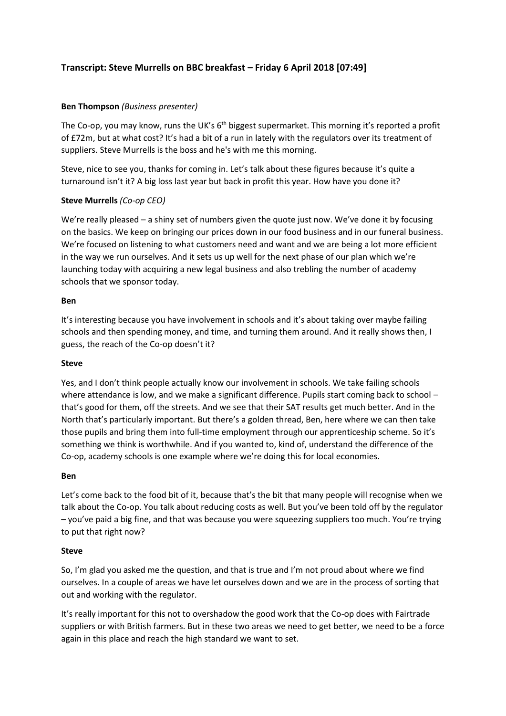# **Transcript: Steve Murrells on BBC breakfast – Friday 6 April 2018 [07:49]**

## **Ben Thompson** *(Business presenter)*

The Co-op, you may know, runs the UK's 6<sup>th</sup> biggest supermarket. This morning it's reported a profit of £72m, but at what cost? It's had a bit of a run in lately with the regulators over its treatment of suppliers. Steve Murrells is the boss and he's with me this morning.

Steve, nice to see you, thanks for coming in. Let's talk about these figures because it's quite a turnaround isn't it? A big loss last year but back in profit this year. How have you done it?

## **Steve Murrells** *(Co-op CEO)*

We're really pleased – a shiny set of numbers given the quote just now. We've done it by focusing on the basics. We keep on bringing our prices down in our food business and in our funeral business. We're focused on listening to what customers need and want and we are being a lot more efficient in the way we run ourselves. And it sets us up well for the next phase of our plan which we're launching today with acquiring a new legal business and also trebling the number of academy schools that we sponsor today.

#### **Ben**

It's interesting because you have involvement in schools and it's about taking over maybe failing schools and then spending money, and time, and turning them around. And it really shows then, I guess, the reach of the Co-op doesn't it?

## **Steve**

Yes, and I don't think people actually know our involvement in schools. We take failing schools where attendance is low, and we make a significant difference. Pupils start coming back to school that's good for them, off the streets. And we see that their SAT results get much better. And in the North that's particularly important. But there's a golden thread, Ben, here where we can then take those pupils and bring them into full-time employment through our apprenticeship scheme. So it's something we think is worthwhile. And if you wanted to, kind of, understand the difference of the Co-op, academy schools is one example where we're doing this for local economies.

## **Ben**

Let's come back to the food bit of it, because that's the bit that many people will recognise when we talk about the Co-op. You talk about reducing costs as well. But you've been told off by the regulator – you've paid a big fine, and that was because you were squeezing suppliers too much. You're trying to put that right now?

## **Steve**

So, I'm glad you asked me the question, and that is true and I'm not proud about where we find ourselves. In a couple of areas we have let ourselves down and we are in the process of sorting that out and working with the regulator.

It's really important for this not to overshadow the good work that the Co-op does with Fairtrade suppliers or with British farmers. But in these two areas we need to get better, we need to be a force again in this place and reach the high standard we want to set.